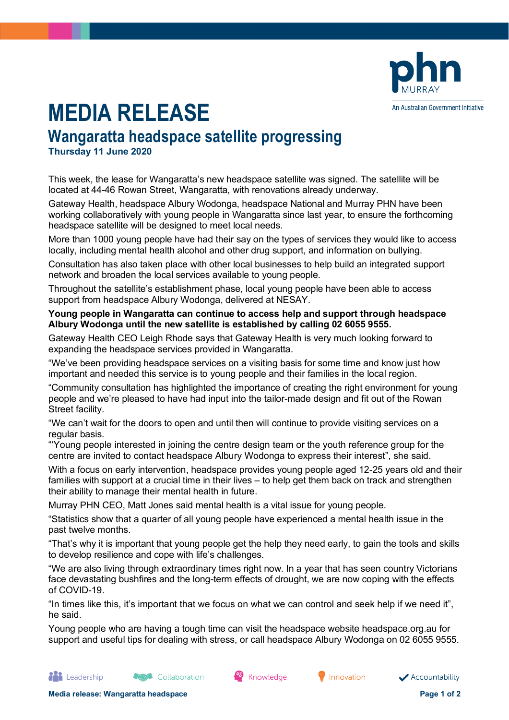

## **MEDIA RELEASE**

## **Wangaratta headspace satellite progressing**

**Thursday 11 June 2020**

This week, the lease for Wangaratta's new headspace satellite was signed. The satellite will be located at 44-46 Rowan Street, Wangaratta, with renovations already underway.

Gateway Health, headspace Albury Wodonga, headspace National and Murray PHN have been working collaboratively with young people in Wangaratta since last year, to ensure the forthcoming headspace satellite will be designed to meet local needs.

More than 1000 young people have had their say on the types of services they would like to access locally, including mental health alcohol and other drug support, and information on bullying.

Consultation has also taken place with other local businesses to help build an integrated support network and broaden the local services available to young people.

Throughout the satellite's establishment phase, local young people have been able to access support from headspace Albury Wodonga, delivered at NESAY.

## **Young people in Wangaratta can continue to access help and support through headspace Albury Wodonga until the new satellite is established by calling 02 6055 9555.**

Gateway Health CEO Leigh Rhode says that Gateway Health is very much looking forward to expanding the headspace services provided in Wangaratta.

"We've been providing headspace services on a visiting basis for some time and know just how important and needed this service is to young people and their families in the local region.

"Community consultation has highlighted the importance of creating the right environment for young people and we're pleased to have had input into the tailor-made design and fit out of the Rowan Street facility.

"We can't wait for the doors to open and until then will continue to provide visiting services on a regular basis.

"'Young people interested in joining the centre design team or the youth reference group for the centre are invited to contact headspace Albury Wodonga to express their interest", she said.

With a focus on early intervention, headspace provides young people aged 12-25 years old and their families with support at a crucial time in their lives – to help get them back on track and strengthen their ability to manage their mental health in future.

Murray PHN CEO, Matt Jones said mental health is a vital issue for young people.

"Statistics show that a quarter of all young people have experienced a mental health issue in the past twelve months.

"That's why it is important that young people get the help they need early, to gain the tools and skills to develop resilience and cope with life's challenges.

"We are also living through extraordinary times right now. In a year that has seen country Victorians face devastating bushfires and the long-term effects of drought, we are now coping with the effects of COVID-19.

"In times like this, it's important that we focus on what we can control and seek help if we need it", he said.

Young people who are having a tough time can visit the headspace website headspace.org.au for support and useful tips for dealing with stress, or call headspace Albury Wodonga on 02 6055 9555.

<sup>68</sup> Knowledge